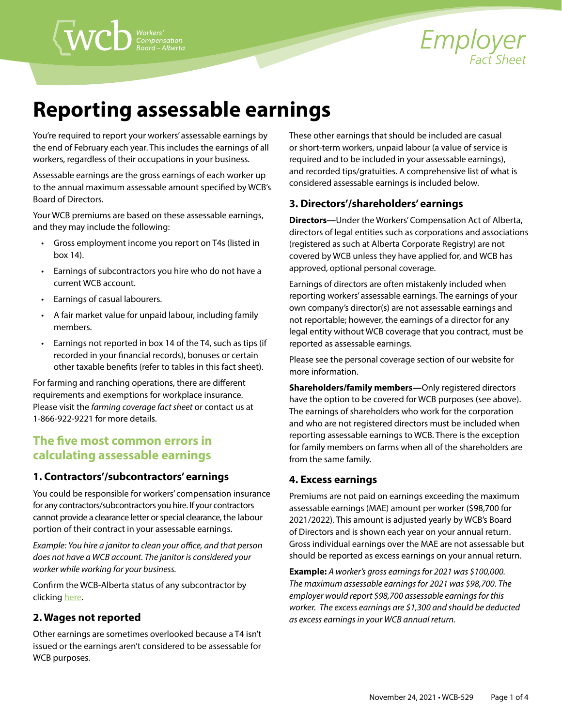

# **Reporting assessable earnings**

You're required to report your workers' assessable earnings by the end of February each year. This includes the earnings of all workers, regardless of their occupations in your business.

Assessable earnings are the gross earnings of each worker up to the annual maximum assessable amount specified by WCB's Board of Directors.

Your WCB premiums are based on these assessable earnings, and they may include the following:

- Gross employment income you report on T4s (listed in box 14).
- Earnings of subcontractors you hire who do not have a current WCB account.
- Earnings of casual labourers.
- A fair market value for unpaid labour, including family members.
- Earnings not reported in box 14 of the T4, such as tips (if recorded in your financial records), bonuses or certain other taxable benefits (refer to tables in this fact sheet).

For farming and ranching operations, there are different requirements and exemptions for workplace insurance. Please visit the *[farming coverage fact sheet](https://www.wcb.ab.ca/assets/pdfs/employers/EFS_Farming_coverage.pdf)* or contact us at 1-866-922-9221 for more details.

## **The five most common errors in calculating assessable earnings**

## **1. Contractors'/subcontractors' earnings**

You could be responsible for workers' compensation insurance for any contractors/subcontractors you hire. If your contractors cannot provide a clearance letter or special clearance, the labour portion of their contract in your assessable earnings.

*Example: You hire a janitor to clean your office, and that person does not have a WCB account. The janitor is considered your worker while working for your business.* 

Confirm the WCB-Alberta status of any subcontractor by clicking [here.](https://decc.wcb.ab.ca/AccountRegistration/AcctRegIndex.asp)

## **2. Wages not reported**

Other earnings are sometimes overlooked because a T4 isn't issued or the earnings aren't considered to be assessable for WCB purposes.

These other earnings that should be included are casual or short-term workers, unpaid labour (a value of service is required and to be included in your assessable earnings), and recorded tips/gratuities. A comprehensive list of what is considered assessable earnings is included below.

## **3. Directors'/shareholders' earnings**

**Directors—**Under the [Workers' Compensation Act of Alberta,](http://www.qp.alberta.ca/1266.cfm?page=W15.cfm&leg_type=Acts&isbncln=9780779725809)  directors of legal entities such as corporations and associations (registered as such at Alberta Corporate Registry) are not covered by WCB unless they have applied for, and WCB has approved, optional personal coverage.

Earnings of directors are often mistakenly included when reporting workers' assessable earnings. The earnings of your own company's director(s) are not assessable earnings and not reportable; however, the earnings of a director for any legal entity without WCB coverage that you contract, must be reported as assessable earnings.

Please see the [personal coverage](https://www.wcb.ab.ca/insurance-and-premiums/types-of-coverage/personal-coverage.html) section of our website for more information.

**Shareholders/family members—**Only registered directors have the option to be covered for WCB purposes (see above). The earnings of shareholders who work for the corporation and who are not registered directors must be included when reporting assessable earnings to WCB. There is the exception for family members on farms when all of the shareholders are from the same family.

## **4. Excess earnings**

Premiums are not paid on earnings exceeding the maximum assessable earnings (MAE) amount per worker (\$98,700 for 2021/2022). This amount is adjusted yearly by WCB's Board of Directors and is shown each year on your annual return. Gross individual earnings over the MAE are not assessable but should be reported as excess earnings on your annual return.

**Example:** *A worker's gross earnings for 2021 was \$100,000. The maximum assessable earnings for 2021 was \$98,700. The employer would report \$98,700 assessable earnings for this worker. The excess earnings are \$1,300 and should be deducted as excess earnings in your WCB annual return.*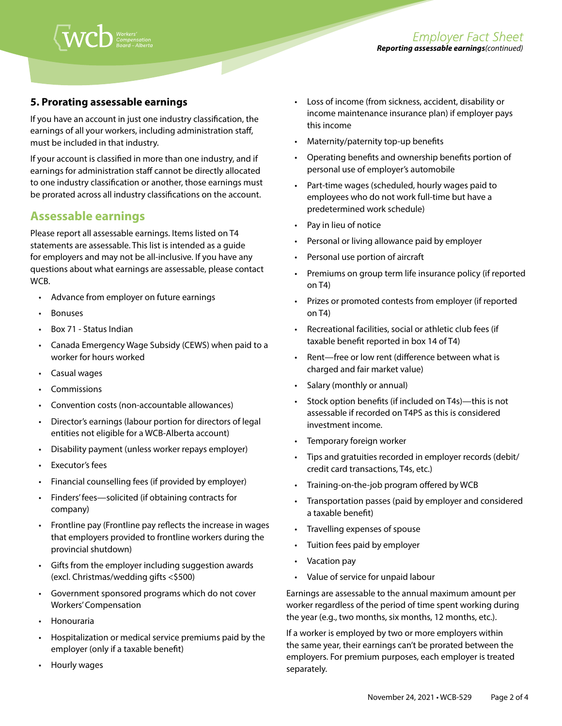

## **5. Prorating assessable earnings**

If you have an account in just one industry classification, the earnings of all your workers, including administration staff, must be included in that industry.

If your account is classified in more than one industry, and if earnings for administration staff cannot be directly allocated to one industry classification or another, those earnings must be prorated across all industry classifications on the account.

## **Assessable earnings**

Please report all assessable earnings. Items listed on T4 statements are assessable. This list is intended as a guide for employers and may not be all-inclusive. If you have any questions about what earnings are assessable, please contact WCB.

- Advance from employer on future earnings
- Bonuses
- Box 71 Status Indian
- Canada Emergency Wage Subsidy (CEWS) when paid to a worker for hours worked
- Casual wages
- Commissions
- Convention costs (non-accountable allowances)
- Director's earnings (labour portion for directors of legal entities not eligible for a WCB-Alberta account)
- Disability payment (unless worker repays employer)
- Executor's fees
- Financial counselling fees (if provided by employer)
- Finders' fees—solicited (if obtaining contracts for company)
- Frontline pay (Frontline pay reflects the increase in wages that employers provided to frontline workers during the provincial shutdown)
- Gifts from the employer including suggestion awards (excl. Christmas/wedding gifts <\$500)
- Government sponsored programs which do not cover Workers' Compensation
- Honouraria
- Hospitalization or medical service premiums paid by the employer (only if a taxable benefit)
- Hourly wages
- Loss of income (from sickness, accident, disability or income maintenance insurance plan) if employer pays this income
- Maternity/paternity top-up benefits
- Operating benefits and ownership benefits portion of personal use of employer's automobile
- Part-time wages (scheduled, hourly wages paid to employees who do not work full-time but have a predetermined work schedule)
- Pay in lieu of notice
- Personal or living allowance paid by employer
- Personal use portion of aircraft
- Premiums on group term life insurance policy (if reported on T4)
- Prizes or promoted contests from employer (if reported on T4)
- Recreational facilities, social or athletic club fees (if taxable benefit reported in box 14 of T4)
- Rent—free or low rent (difference between what is charged and fair market value)
- Salary (monthly or annual)
- Stock option benefits (if included on T4s)—this is not assessable if recorded on T4PS as this is considered investment income.
- Temporary foreign worker
- Tips and gratuities recorded in employer records (debit/ credit card transactions, T4s, etc.)
- Training-on-the-job program offered by WCB
- Transportation passes (paid by employer and considered a taxable benefit)
- Travelling expenses of spouse
- Tuition fees paid by employer
- Vacation pay
- Value of service for unpaid labour

Earnings are assessable to the annual maximum amount per worker regardless of the period of time spent working during the year (e.g., two months, six months, 12 months, etc.).

If a worker is employed by two or more employers within the same year, their earnings can't be prorated between the employers. For premium purposes, each employer is treated separately.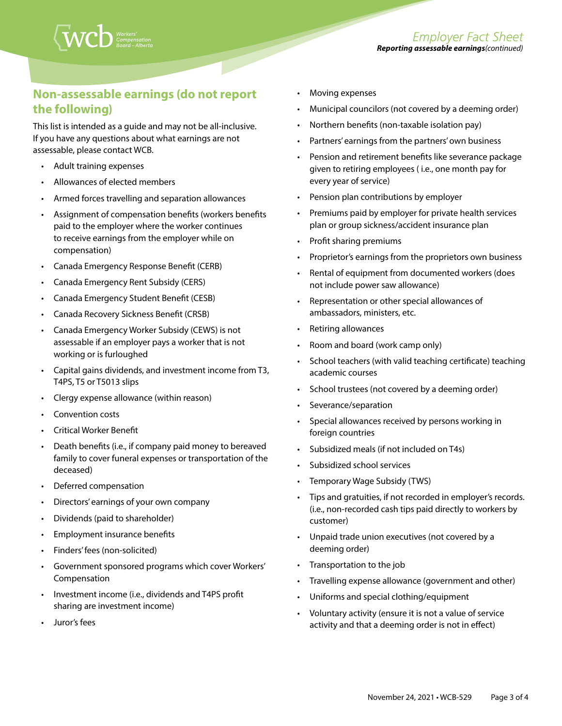# **Non-assessable earnings (do not report the following)**

This list is intended as a guide and may not be all-inclusive. If you have any questions about what earnings are not assessable, please contact WCB.

- Adult training expenses
- Allowances of elected members
- Armed forces travelling and separation allowances
- Assignment of compensation benefits (workers benefits paid to the employer where the worker continues to receive earnings from the employer while on compensation)
- Canada Emergency Response Benefit (CERB)
- Canada Emergency Rent Subsidy (CERS)
- Canada Emergency Student Benefit (CESB)
- Canada Recovery Sickness Benefit (CRSB)
- Canada Emergency Worker Subsidy (CEWS) is not assessable if an employer pays a worker that is not working or is furloughed
- Capital gains dividends, and investment income from T3, T4PS, T5 or T5013 slips
- Clergy expense allowance (within reason)
- Convention costs
- Critical Worker Benefit
- Death benefits (i.e., if company paid money to bereaved family to cover funeral expenses or transportation of the deceased)
- Deferred compensation
- Directors' earnings of your own company
- Dividends (paid to shareholder)
- Employment insurance benefits
- Finders' fees (non-solicited)
- Government sponsored programs which cover Workers' Compensation
- Investment income (i.e., dividends and T4PS profit sharing are investment income)
- Juror's fees
- Moving expenses
- Municipal councilors (not covered by a deeming order)
- Northern benefits (non-taxable isolation pay)
- Partners' earnings from the partners' own business
- Pension and retirement benefits like severance package given to retiring employees ( i.e., one month pay for every year of service)
- Pension plan contributions by employer
- Premiums paid by employer for private health services plan or group sickness/accident insurance plan
- Profit sharing premiums
- Proprietor's earnings from the proprietors own business
- Rental of equipment from documented workers (does not include power saw allowance)
- Representation or other special allowances of ambassadors, ministers, etc.
- Retiring allowances
- Room and board (work camp only)
- School teachers (with valid teaching certificate) teaching academic courses
- School trustees (not covered by a deeming order)
- Severance/separation
- Special allowances received by persons working in foreign countries
- Subsidized meals (if not included on T4s)
- Subsidized school services
- Temporary Wage Subsidy (TWS)
- Tips and gratuities, if not recorded in employer's records. (i.e., non-recorded cash tips paid directly to workers by customer)
- Unpaid trade union executives (not covered by a deeming order)
- Transportation to the job
- Travelling expense allowance (government and other)
- Uniforms and special clothing/equipment
- Voluntary activity (ensure it is not a value of service activity and that a deeming order is not in effect)